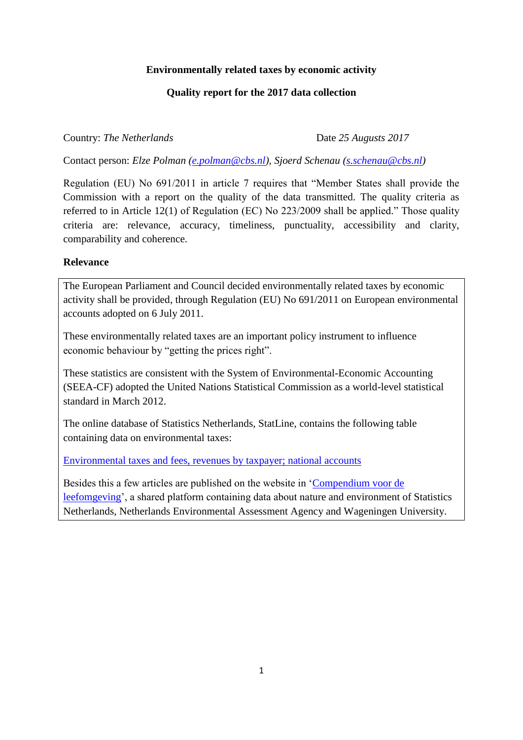#### **Environmentally related taxes by economic activity**

### **Quality report for the 2017 data collection**

#### Country: *The Netherlands* Date *25 Augusts 2017*

Contact person: *Elze Polman [\(e.polman@cbs.nl\)](mailto:e.polman@cbs.nl), Sjoerd Schenau [\(s.schenau@cbs.nl\)](mailto:s.schenau@cbs.nl)*

Regulation (EU) No 691/2011 in article 7 requires that "Member States shall provide the Commission with a report on the quality of the data transmitted. The quality criteria as referred to in Article 12(1) of Regulation (EC) No 223/2009 shall be applied." Those quality criteria are: relevance, accuracy, timeliness, punctuality, accessibility and clarity, comparability and coherence.

# **Relevance**

The European Parliament and Council decided environmentally related taxes by economic activity shall be provided, through Regulation (EU) No 691/2011 on European environmental accounts adopted on 6 July 2011.

These environmentally related taxes are an important policy instrument to influence economic behaviour by "getting the prices right".

These statistics are consistent with the System of Environmental-Economic Accounting (SEEA-CF) adopted the United Nations Statistical Commission as a world-level statistical standard in March 2012.

The online database of Statistics Netherlands, StatLine, contains the following table containing data on environmental taxes:

[Environmental taxes and fees, revenues by taxpayer; national accounts](http://statline.cbs.nl/Statweb/publication/?DM=SLEN&PA=82725ENG&D1=0-2,9,14&D2=0-1,59-60&D3=19-21&LA=EN&HDR=T&STB=G2,G1&VW=T)

Besides this a few articles are published on the website in ['Compendium voor de](http://www.clo.nl/en/indicators/en0360-green-tax-revenues)  [leefomgeving'](http://www.clo.nl/en/indicators/en0360-green-tax-revenues), a shared platform containing data about nature and environment of Statistics Netherlands, Netherlands Environmental Assessment Agency and Wageningen University.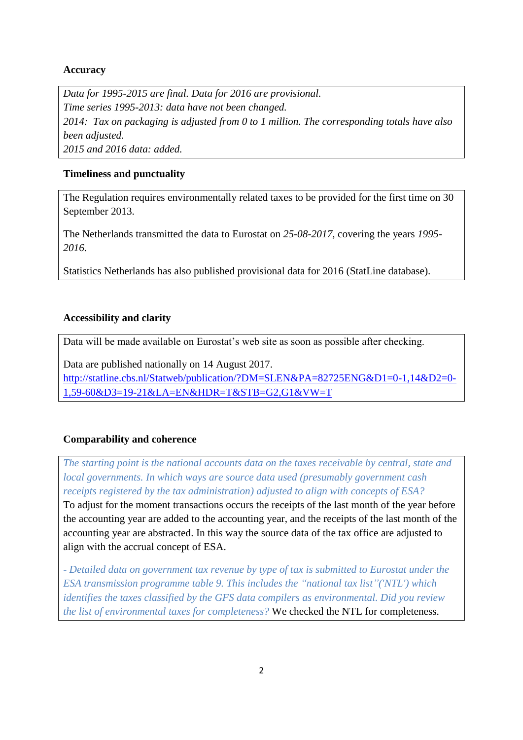### **Accuracy**

*Data for 1995-2015 are final. Data for 2016 are provisional. Time series 1995-2013: data have not been changed. 2014: Tax on packaging is adjusted from 0 to 1 million. The corresponding totals have also been adjusted. 2015 and 2016 data: added.*

### **Timeliness and punctuality**

The Regulation requires environmentally related taxes to be provided for the first time on 30 September 2013.

The Netherlands transmitted the data to Eurostat on *25-08-2017,* covering the years *1995- 2016.*

Statistics Netherlands has also published provisional data for 2016 (StatLine database).

### **Accessibility and clarity**

Data will be made available on Eurostat's web site as soon as possible after checking.

Data are published nationally on 14 August 2017. [http://statline.cbs.nl/Statweb/publication/?DM=SLEN&PA=82725ENG&D1=0-1,14&D2=0-](http://statline.cbs.nl/Statweb/publication/?DM=SLEN&PA=82725ENG&D1=0-1,14&D2=0-1,59-60&D3=19-21&LA=EN&HDR=T&STB=G2,G1&VW=T) [1,59-60&D3=19-21&LA=EN&HDR=T&STB=G2,G1&VW=T](http://statline.cbs.nl/Statweb/publication/?DM=SLEN&PA=82725ENG&D1=0-1,14&D2=0-1,59-60&D3=19-21&LA=EN&HDR=T&STB=G2,G1&VW=T)

# **Comparability and coherence**

*The starting point is the national accounts data on the taxes receivable by central, state and local governments. In which ways are source data used (presumably government cash receipts registered by the tax administration) adjusted to align with concepts of ESA?* To adjust for the moment transactions occurs the receipts of the last month of the year before

the accounting year are added to the accounting year, and the receipts of the last month of the accounting year are abstracted. In this way the source data of the tax office are adjusted to align with the accrual concept of ESA.

*- Detailed data on government tax revenue by type of tax is submitted to Eurostat under the ESA transmission programme table 9. This includes the "national tax list"('NTL') which identifies the taxes classified by the GFS data compilers as environmental. Did you review the list of environmental taxes for completeness?* We checked the NTL for completeness.